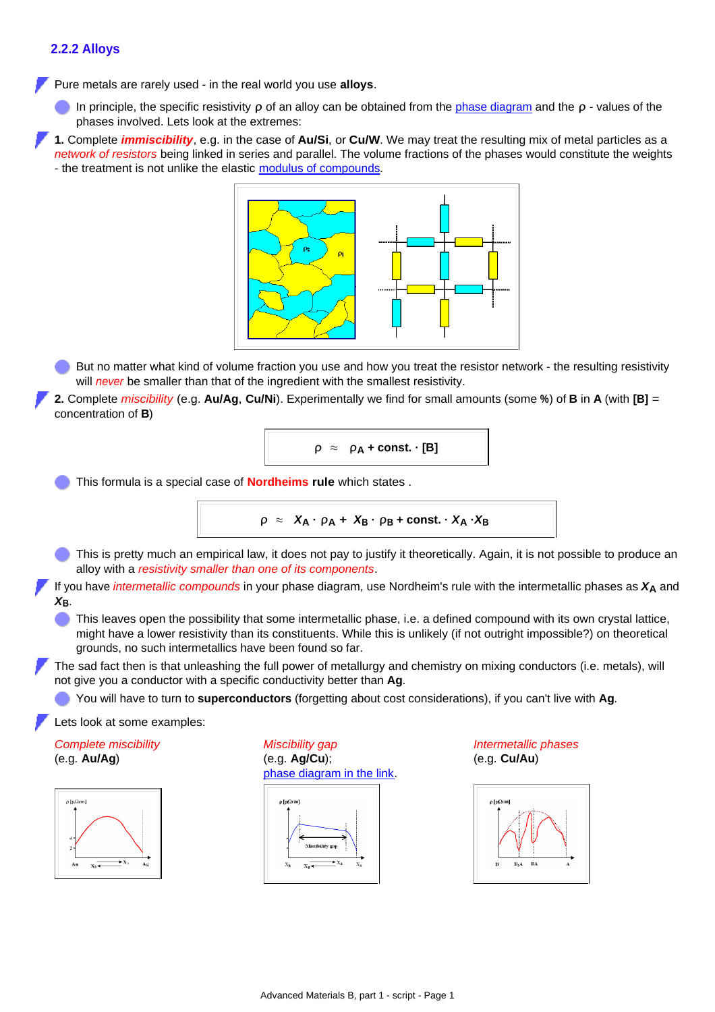## **2.2.2 Alloys**

Pure metals are rarely used - in the real world you use **alloys**.

In principle, the specific resistivity *ρ* of an alloy can be obtained from the [phase diagram](http://www.tf.uni-kiel.de/matwis/amat/mw1_ge/kap_5/backbone/r5_4_1.html) and the *ρ* - values of the phases involved. Lets look at the extremes:

**1.** Complete *immiscibility*, e.g. in the case of **Au/Si**, or **Cu/W**. We may treat the resulting mix of metal particles as a *network of resistors* being linked in series and parallel. The volume fractions of the phases would constitute the weights - the treatment is not unlike the elastic [modulus of compounds](http://www.tf.uni-kiel.de/matwis/amat/mw1_ge/kap_7/backbone/r7_1_4.html).



But no matter what kind of volume fraction you use and how you treat the resistor network - the resulting resistivity will *never* be smaller than that of the ingredient with the smallest resistivity.

**2.** Complete *miscibility* (e.g. **Au/Ag**, **Cu/Ni**). Experimentally we find for small amounts (some **%**) of **B** in **A** (with **[B]** = concentration of **B**)

$$
\rho \approx \rho_A + \text{const.} \cdot [B]
$$

This formula is a special case of **Nordheims rule** which states .

$$
\rho \approx X_A \cdot \rho_A + X_B \cdot \rho_B + \text{const.} \cdot X_A \cdot X_B
$$

This is pretty much an empirical law, it does not pay to justify it theoretically. Again, it is not possible to produce an alloy with a *resistivity smaller than one of its components*.

If you have *intermetallic compounds* in your phase diagram, use Nordheim's rule with the intermetallic phases as *X***A** and *X***B**.

This leaves open the possibility that some intermetallic phase, i.e. a defined compound with its own crystal lattice, might have a lower resistivity than its constituents. While this is unlikely (if not outright impossible?) on theoretical grounds, no such intermetallics have been found so far.

The sad fact then is that unleashing the full power of metallurgy and chemistry on mixing conductors (i.e. metals), will not give you a conductor with a specific conductivity better than **Ag**.

You will have to turn to **superconductors** (forgetting about cost considerations), if you can't live with **Ag**.

Lets look at some examples:

*Complete miscibility* (e.g. **Au/Ag**)



*Miscibility gap* (e.g. **Ag/Cu**); [phase diagram in the link](http://www.tf.uni-kiel.de/matwis/amat/admat_en/kap_2/illustr/t2_3_3.html).



*Intermetallic phases* (e.g. **Cu/Au**)